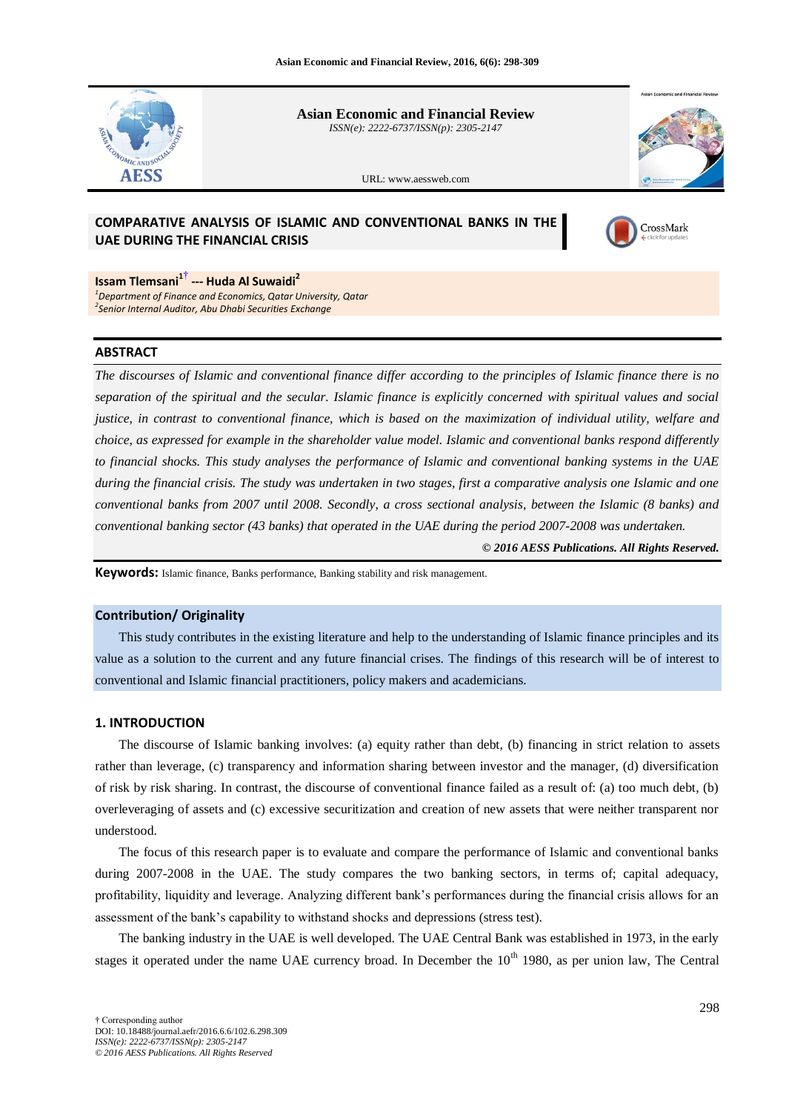

**Asian Economic and Financial Review** *ISSN(e): 2222-6737/ISSN(p): 2305-2147*

URL: www.aessweb.com



# **COMPARATIVE ANALYSIS OF ISLAMIC AND CONVENTIONAL BANKS IN THE UAE DURING THE FINANCIAL CRISIS**



**Issam Tlemsani<sup>1</sup>**[†](#page-0-0) **--- Huda Al Suwaidi<sup>2</sup>** *1 Department of Finance and Economics, Qatar University, Qatar 2 Senior Internal Auditor, Abu Dhabi Securities Exchange*

## **ABSTRACT**

*The discourses of Islamic and conventional finance differ according to the principles of Islamic finance there is no separation of the spiritual and the secular. Islamic finance is explicitly concerned with spiritual values and social justice, in contrast to conventional finance, which is based on the maximization of individual utility, welfare and choice, as expressed for example in the shareholder value model. Islamic and conventional banks respond differently to financial shocks. This study analyses the performance of Islamic and conventional banking systems in the UAE during the financial crisis. The study was undertaken in two stages, first a comparative analysis one Islamic and one conventional banks from 2007 until 2008. Secondly, a cross sectional analysis, between the Islamic (8 banks) and conventional banking sector (43 banks) that operated in the UAE during the period 2007-2008 was undertaken.* 

*© 2016 AESS Publications. All Rights Reserved.*

**Keywords:** Islamic finance, Banks performance, Banking stability and risk management.

## **Contribution/ Originality**

This study contributes in the existing literature and help to the understanding of Islamic finance principles and its value as a solution to the current and any future financial crises. The findings of this research will be of interest to conventional and Islamic financial practitioners, policy makers and academicians.

## **1. INTRODUCTION**

The discourse of Islamic banking involves: (a) equity rather than debt, (b) financing in strict relation to assets rather than leverage, (c) transparency and information sharing between investor and the manager, (d) diversification of risk by risk sharing. In contrast, the discourse of conventional finance failed as a result of: (a) too much debt, (b) overleveraging of assets and (c) excessive securitization and creation of new assets that were neither transparent nor understood.

The focus of this research paper is to evaluate and compare the performance of Islamic and conventional banks during 2007-2008 in the UAE. The study compares the two banking sectors, in terms of; capital adequacy, profitability, liquidity and leverage. Analyzing different bank's performances during the financial crisis allows for an assessment of the bank's capability to withstand shocks and depressions (stress test).

<span id="page-0-0"></span>The banking industry in the UAE is well developed. The UAE Central Bank was established in 1973, in the early stages it operated under the name UAE currency broad. In December the 10<sup>th</sup> 1980, as per union law, The Central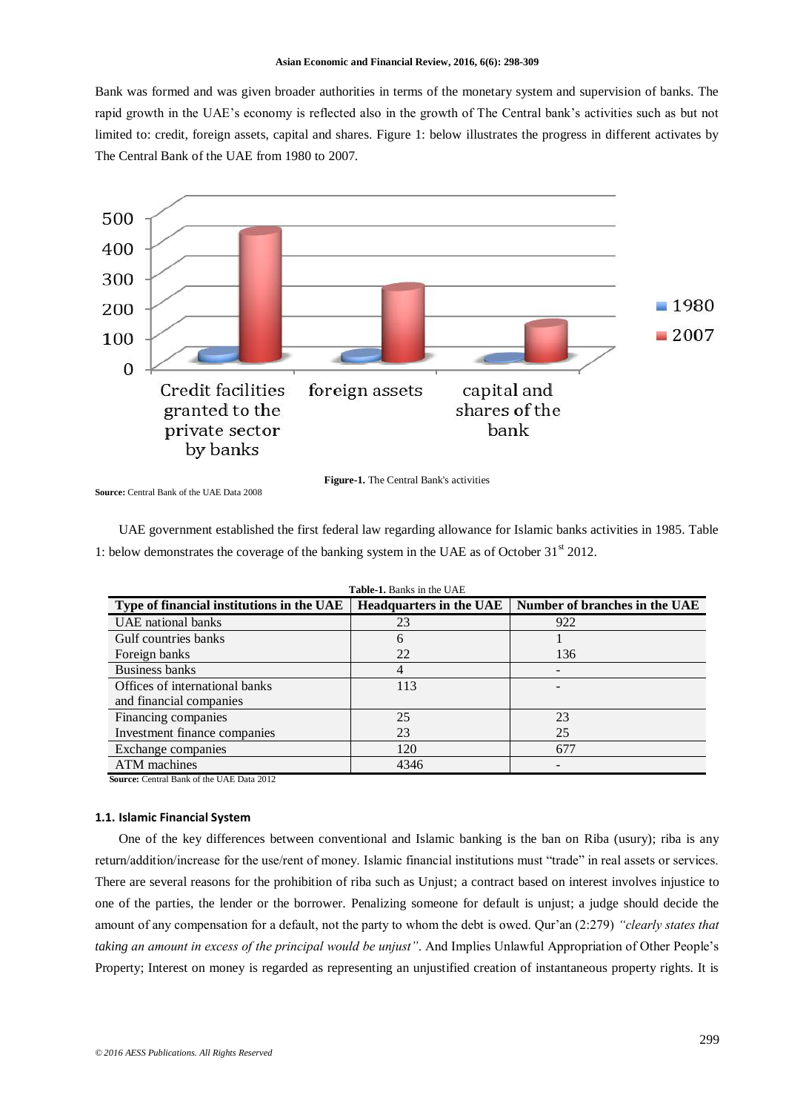Bank was formed and was given broader authorities in terms of the monetary system and supervision of banks. The rapid growth in the UAE's economy is reflected also in the growth of The Central bank's activities such as but not limited to: credit, foreign assets, capital and shares. Figure 1: below illustrates the progress in different activates by The Central Bank of the UAE from 1980 to 2007.



**Figure-1.** The Central Bank's activities

**Source:** Central Bank of the UAE Data 2008

UAE government established the first federal law regarding allowance for Islamic banks activities in 1985. Table 1: below demonstrates the coverage of the banking system in the UAE as of October  $31<sup>st</sup> 2012$ .

| Type of financial institutions in the UAE | <b>Headquarters in the UAE</b> | Number of branches in the UAE |  |  |  |  |
|-------------------------------------------|--------------------------------|-------------------------------|--|--|--|--|
| <b>UAE</b> national banks                 | 23                             | 922                           |  |  |  |  |
| Gulf countries banks                      | 6                              |                               |  |  |  |  |
| Foreign banks                             | 22                             | 136                           |  |  |  |  |
| Business banks                            | 4                              |                               |  |  |  |  |
| Offices of international banks            | 113                            |                               |  |  |  |  |
| and financial companies                   |                                |                               |  |  |  |  |
| Financing companies                       | 25                             | 23                            |  |  |  |  |
| Investment finance companies              | 23                             | 25                            |  |  |  |  |
| Exchange companies                        | 120                            | 677                           |  |  |  |  |
| ATM machines                              | 4346                           |                               |  |  |  |  |

**Table-1.** Banks in the UAE

**Source:** Central Bank of the UAE Data 2012

#### **1.1. Islamic Financial System**

One of the key differences between conventional and Islamic banking is the ban on Riba (usury); riba is any return/addition/increase for the use/rent of money. Islamic financial institutions must "trade" in real assets or services. There are several reasons for the prohibition of riba such as Unjust; a contract based on interest involves injustice to one of the parties, the lender or the borrower. Penalizing someone for default is unjust; a judge should decide the amount of any compensation for a default, not the party to whom the debt is owed. Qur'an (2:279) *"clearly states that taking an amount in excess of the principal would be unjust"*. And Implies Unlawful Appropriation of Other People's Property; Interest on money is regarded as representing an unjustified creation of instantaneous property rights. It is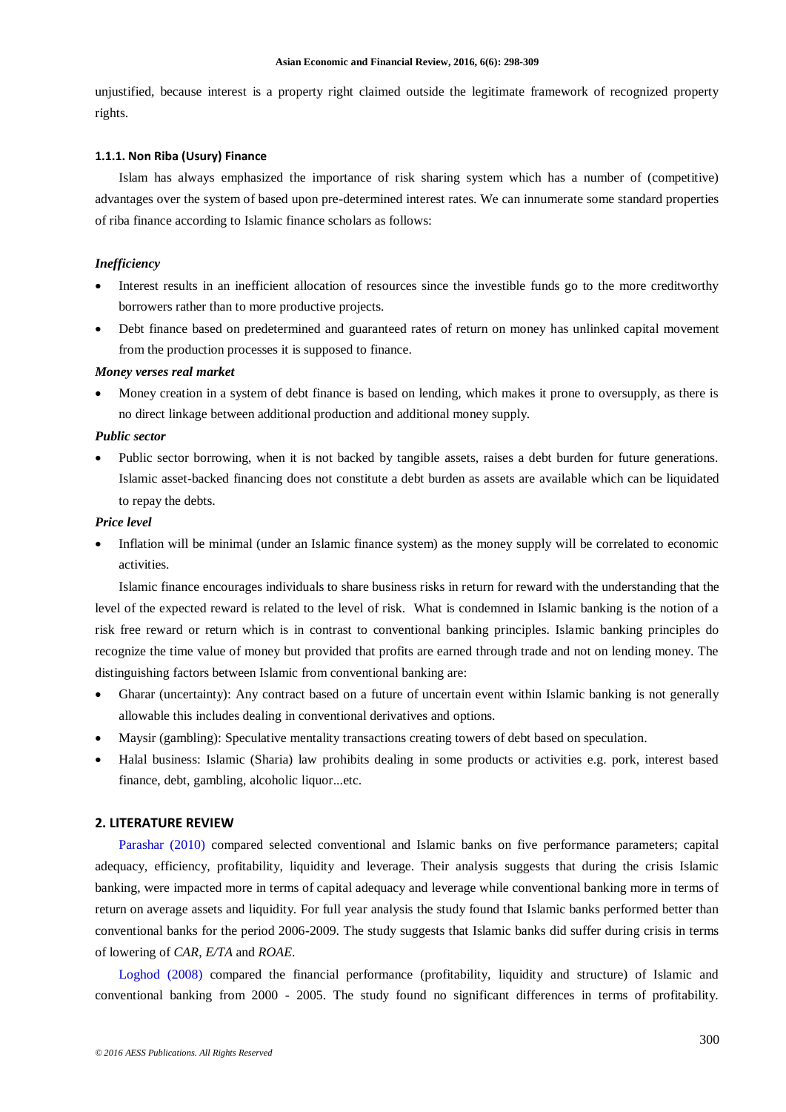unjustified, because interest is a property right claimed outside the legitimate framework of recognized property rights.

## **1.1.1. Non Riba (Usury) Finance**

Islam has always emphasized the importance of risk sharing system which has a number of (competitive) advantages over the system of based upon pre-determined interest rates. We can innumerate some standard properties of riba finance according to Islamic finance scholars as follows:

#### *Inefficiency*

- Interest results in an inefficient allocation of resources since the investible funds go to the more creditworthy borrowers rather than to more productive projects.
- Debt finance based on predetermined and guaranteed rates of return on money has unlinked capital movement from the production processes it is supposed to finance.

## *Money verses real market*

 Money creation in a system of debt finance is based on lending, which makes it prone to oversupply, as there is no direct linkage between additional production and additional money supply.

#### *Public sector*

 Public sector borrowing, when it is not backed by tangible assets, raises a debt burden for future generations. Islamic asset-backed financing does not constitute a debt burden as assets are available which can be liquidated to repay the debts.

#### *Price level*

 Inflation will be minimal (under an Islamic finance system) as the money supply will be correlated to economic activities.

Islamic finance encourages individuals to share business risks in return for reward with the understanding that the level of the expected reward is related to the level of risk. What is condemned in Islamic banking is the notion of a risk free reward or return which is in contrast to conventional banking principles. Islamic banking principles do recognize the time value of money but provided that profits are earned through trade and not on lending money. The distinguishing factors between Islamic from conventional banking are:

- Gharar (uncertainty): Any contract based on a future of uncertain event within Islamic banking is not generally allowable this includes dealing in conventional derivatives and options.
- Maysir (gambling): Speculative mentality transactions creating towers of debt based on speculation.
- Halal business: Islamic (Sharia) law prohibits dealing in some products or activities e.g. pork, interest based finance, debt, gambling, alcoholic liquor...etc.

# **2. LITERATURE REVIEW**

[Parashar \(2010\)](#page-10-0) compared selected conventional and Islamic banks on five performance parameters; capital adequacy, efficiency, profitability, liquidity and leverage. Their analysis suggests that during the crisis Islamic banking, were impacted more in terms of capital adequacy and leverage while conventional banking more in terms of return on average assets and liquidity. For full year analysis the study found that Islamic banks performed better than conventional banks for the period 2006-2009. The study suggests that Islamic banks did suffer during crisis in terms of lowering of *CAR*, *E/TA* and *ROAE*.

[Loghod \(2008\)](#page-10-1) compared the financial performance (profitability, liquidity and structure) of Islamic and conventional banking from 2000 - 2005. The study found no significant differences in terms of profitability.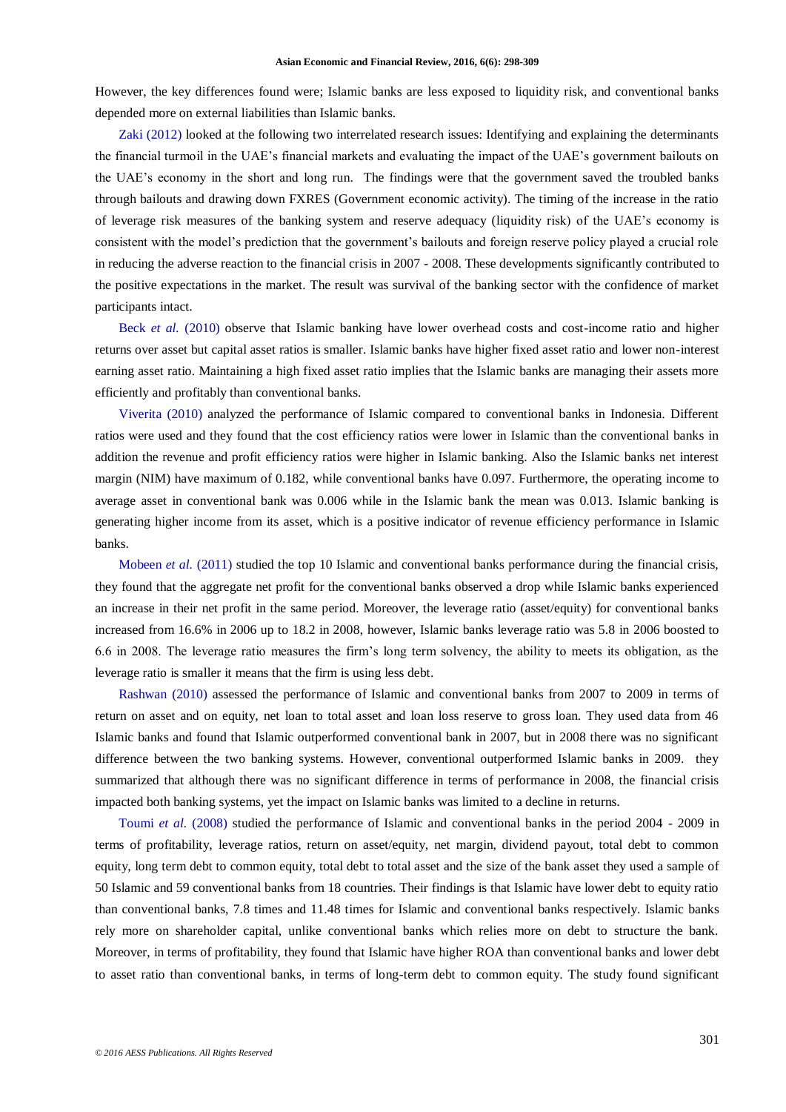However, the key differences found were; Islamic banks are less exposed to liquidity risk, and conventional banks depended more on external liabilities than Islamic banks.

[Zaki \(2012\)](#page-10-2) looked at the following two interrelated research issues: Identifying and explaining the determinants the financial turmoil in the UAE's financial markets and evaluating the impact of the UAE's government bailouts on the UAE's economy in the short and long run. The findings were that the government saved the troubled banks through bailouts and drawing down FXRES (Government economic activity). The timing of the increase in the ratio of leverage risk measures of the banking system and reserve adequacy (liquidity risk) of the UAE's economy is consistent with the model's prediction that the government's bailouts and foreign reserve policy played a crucial role in reducing the adverse reaction to the financial crisis in 2007 - 2008. These developments significantly contributed to the positive expectations in the market. The result was survival of the banking sector with the confidence of market participants intact.

Beck *et al.* [\(2010\)](#page-9-0) observe that Islamic banking have lower overhead costs and cost-income ratio and higher returns over asset but capital asset ratios is smaller. Islamic banks have higher fixed asset ratio and lower non-interest earning asset ratio. Maintaining a high fixed asset ratio implies that the Islamic banks are managing their assets more efficiently and profitably than conventional banks.

[Viverita \(2010\)](#page-10-3) analyzed the performance of Islamic compared to conventional banks in Indonesia. Different ratios were used and they found that the cost efficiency ratios were lower in Islamic than the conventional banks in addition the revenue and profit efficiency ratios were higher in Islamic banking. Also the Islamic banks net interest margin (NIM) have maximum of 0.182, while conventional banks have 0.097. Furthermore, the operating income to average asset in conventional bank was 0.006 while in the Islamic bank the mean was 0.013. Islamic banking is generating higher income from its asset, which is a positive indicator of revenue efficiency performance in Islamic banks.

[Mobeen](#page-10-4) *et al.* (2011) studied the top 10 Islamic and conventional banks performance during the financial crisis, they found that the aggregate net profit for the conventional banks observed a drop while Islamic banks experienced an increase in their net profit in the same period. Moreover, the leverage ratio (asset/equity) for conventional banks increased from 16.6% in 2006 up to 18.2 in 2008, however, Islamic banks leverage ratio was 5.8 in 2006 boosted to 6.6 in 2008. The leverage ratio measures the firm's long term solvency, the ability to meets its obligation, as the leverage ratio is smaller it means that the firm is using less debt.

[Rashwan \(2010\)](#page-10-5) assessed the performance of Islamic and conventional banks from 2007 to 2009 in terms of return on asset and on equity, net loan to total asset and loan loss reserve to gross loan. They used data from 46 Islamic banks and found that Islamic outperformed conventional bank in 2007, but in 2008 there was no significant difference between the two banking systems. However, conventional outperformed Islamic banks in 2009. they summarized that although there was no significant difference in terms of performance in 2008, the financial crisis impacted both banking systems, yet the impact on Islamic banks was limited to a decline in returns.

[Toumi](#page-10-6) *et al.* (2008) studied the performance of Islamic and conventional banks in the period 2004 - 2009 in terms of profitability, leverage ratios, return on asset/equity, net margin, dividend payout, total debt to common equity, long term debt to common equity, total debt to total asset and the size of the bank asset they used a sample of 50 Islamic and 59 conventional banks from 18 countries. Their findings is that Islamic have lower debt to equity ratio than conventional banks, 7.8 times and 11.48 times for Islamic and conventional banks respectively. Islamic banks rely more on shareholder capital, unlike conventional banks which relies more on debt to structure the bank. Moreover, in terms of profitability, they found that Islamic have higher ROA than conventional banks and lower debt to asset ratio than conventional banks, in terms of long-term debt to common equity. The study found significant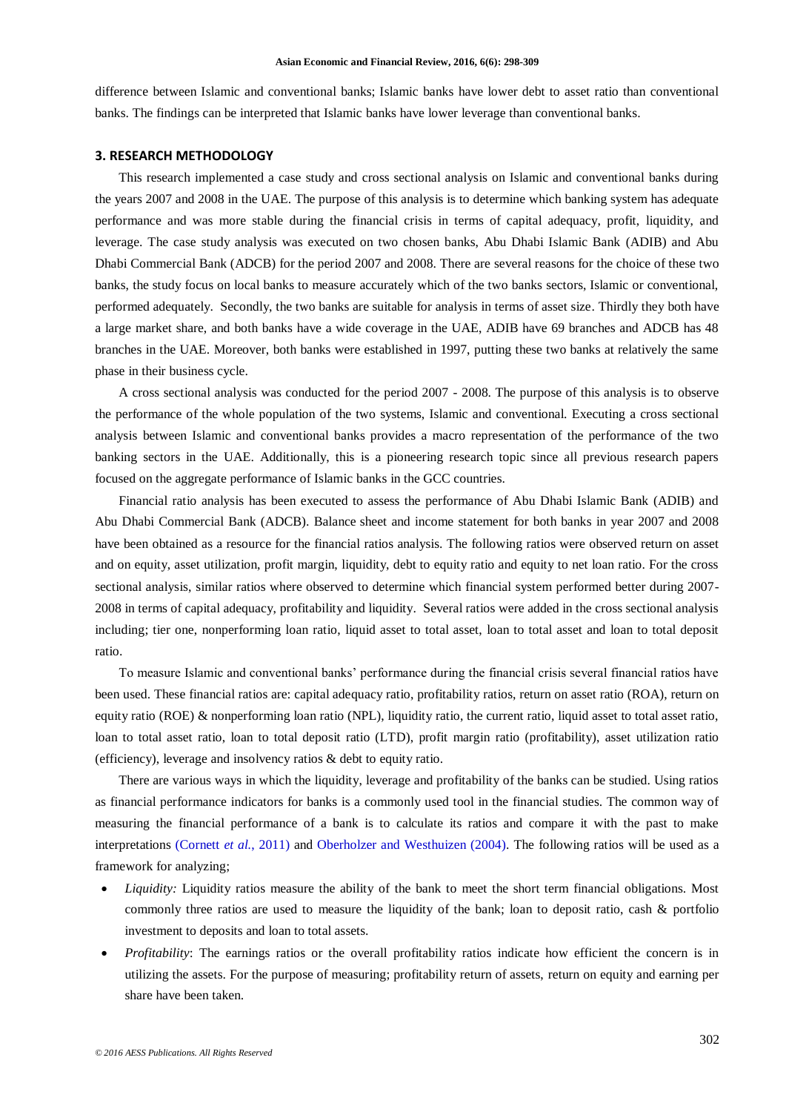difference between Islamic and conventional banks; Islamic banks have lower debt to asset ratio than conventional banks. The findings can be interpreted that Islamic banks have lower leverage than conventional banks.

## **3. RESEARCH METHODOLOGY**

This research implemented a case study and cross sectional analysis on Islamic and conventional banks during the years 2007 and 2008 in the UAE. The purpose of this analysis is to determine which banking system has adequate performance and was more stable during the financial crisis in terms of capital adequacy, profit, liquidity, and leverage. The case study analysis was executed on two chosen banks, Abu Dhabi Islamic Bank (ADIB) and Abu Dhabi Commercial Bank (ADCB) for the period 2007 and 2008. There are several reasons for the choice of these two banks, the study focus on local banks to measure accurately which of the two banks sectors, Islamic or conventional, performed adequately. Secondly, the two banks are suitable for analysis in terms of asset size. Thirdly they both have a large market share, and both banks have a wide coverage in the UAE, ADIB have 69 branches and ADCB has 48 branches in the UAE. Moreover, both banks were established in 1997, putting these two banks at relatively the same phase in their business cycle.

A cross sectional analysis was conducted for the period 2007 - 2008. The purpose of this analysis is to observe the performance of the whole population of the two systems, Islamic and conventional. Executing a cross sectional analysis between Islamic and conventional banks provides a macro representation of the performance of the two banking sectors in the UAE. Additionally, this is a pioneering research topic since all previous research papers focused on the aggregate performance of Islamic banks in the GCC countries.

Financial ratio analysis has been executed to assess the performance of Abu Dhabi Islamic Bank (ADIB) and Abu Dhabi Commercial Bank (ADCB). Balance sheet and income statement for both banks in year 2007 and 2008 have been obtained as a resource for the financial ratios analysis. The following ratios were observed return on asset and on equity, asset utilization, profit margin, liquidity, debt to equity ratio and equity to net loan ratio. For the cross sectional analysis, similar ratios where observed to determine which financial system performed better during 2007- 2008 in terms of capital adequacy, profitability and liquidity. Several ratios were added in the cross sectional analysis including; tier one, nonperforming loan ratio, liquid asset to total asset, loan to total asset and loan to total deposit ratio.

To measure Islamic and conventional banks' performance during the financial crisis several financial ratios have been used. These financial ratios are: capital adequacy ratio, profitability ratios, return on asset ratio (ROA), return on equity ratio (ROE)  $\&$  nonperforming loan ratio (NPL), liquidity ratio, the current ratio, liquid asset to total asset ratio, loan to total asset ratio, loan to total deposit ratio (LTD), profit margin ratio (profitability), asset utilization ratio (efficiency), leverage and insolvency ratios & debt to equity ratio.

There are various ways in which the liquidity, leverage and profitability of the banks can be studied. Using ratios as financial performance indicators for banks is a commonly used tool in the financial studies. The common way of measuring the financial performance of a bank is to calculate its ratios and compare it with the past to make interpretations [\(Cornett](#page-10-7) *et al.*, 2011) and [Oberholzer and Westhuizen \(2004\)](#page-10-8). The following ratios will be used as a framework for analyzing;

- *Liquidity:* Liquidity ratios measure the ability of the bank to meet the short term financial obligations. Most commonly three ratios are used to measure the liquidity of the bank; loan to deposit ratio, cash & portfolio investment to deposits and loan to total assets.
- *Profitability*: The earnings ratios or the overall profitability ratios indicate how efficient the concern is in utilizing the assets. For the purpose of measuring; profitability return of assets, return on equity and earning per share have been taken.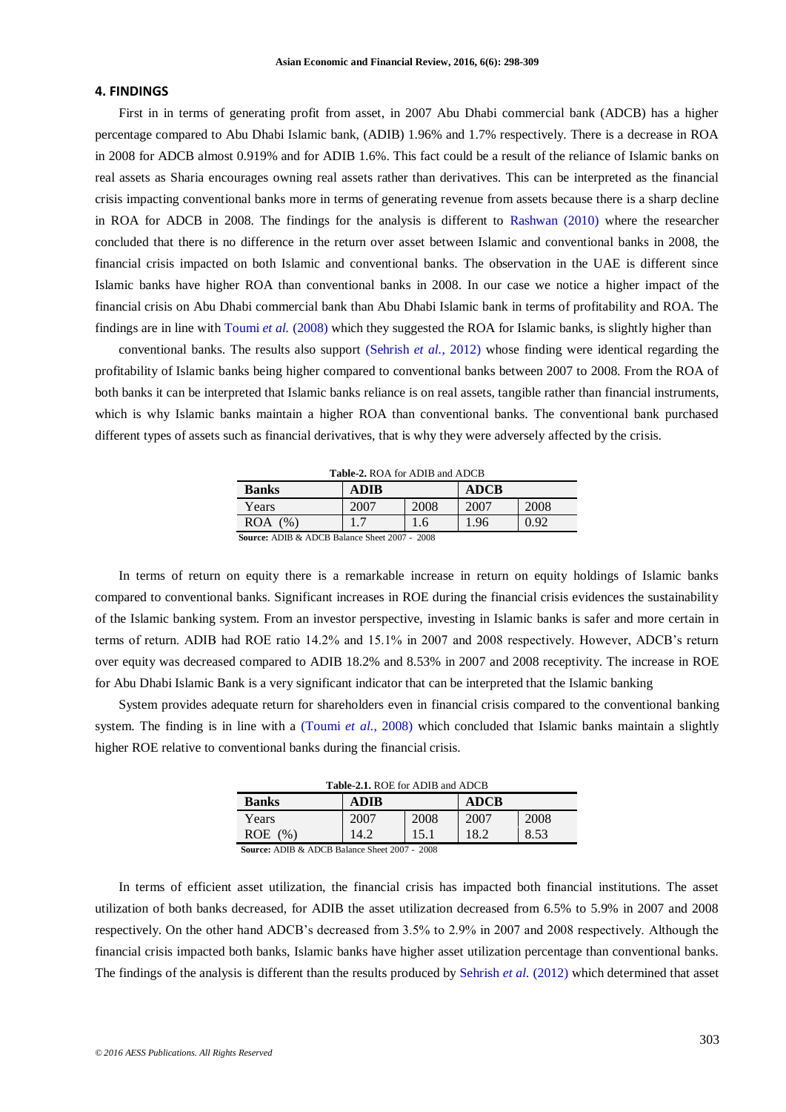#### **4. FINDINGS**

First in in terms of generating profit from asset, in 2007 Abu Dhabi commercial bank (ADCB) has a higher percentage compared to Abu Dhabi Islamic bank, (ADIB) 1.96% and 1.7% respectively. There is a decrease in ROA in 2008 for ADCB almost 0.919% and for ADIB 1.6%. This fact could be a result of the reliance of Islamic banks on real assets as Sharia encourages owning real assets rather than derivatives. This can be interpreted as the financial crisis impacting conventional banks more in terms of generating revenue from assets because there is a sharp decline in ROA for ADCB in 2008. The findings for the analysis is different to [Rashwan \(2010\)](#page-10-5) where the researcher concluded that there is no difference in the return over asset between Islamic and conventional banks in 2008, the financial crisis impacted on both Islamic and conventional banks. The observation in the UAE is different since Islamic banks have higher ROA than conventional banks in 2008. In our case we notice a higher impact of the financial crisis on Abu Dhabi commercial bank than Abu Dhabi Islamic bank in terms of profitability and ROA. The findings are in line with [Toumi](#page-10-6) *et al.* (2008) which they suggested the ROA for Islamic banks, is slightly higher than

conventional banks. The results also support [\(Sehrish](#page-10-9) *et al.*, 2012) whose finding were identical regarding the profitability of Islamic banks being higher compared to conventional banks between 2007 to 2008. From the ROA of both banks it can be interpreted that Islamic banks reliance is on real assets, tangible rather than financial instruments, which is why Islamic banks maintain a higher ROA than conventional banks. The conventional bank purchased different types of assets such as financial derivatives, that is why they were adversely affected by the crisis.

| <b>Table-2. ROA for ADIB and ADCB</b>       |      |      |      |      |  |  |
|---------------------------------------------|------|------|------|------|--|--|
| <b>ADCB</b><br><b>Banks</b><br><b>ADIB</b>  |      |      |      |      |  |  |
| Years                                       | 2007 | 2008 | 2007 | 2008 |  |  |
| ROA<br>(96)                                 |      | 1.6  | 1.96 |      |  |  |
| 2000<br>$1 - 1 - 1 - 1 - 0$ $1 - 1 - 1 - 0$ |      |      |      |      |  |  |

**Source:** ADIB & ADCB Balance Sheet 2007 - 2008

In terms of return on equity there is a remarkable increase in return on equity holdings of Islamic banks compared to conventional banks. Significant increases in ROE during the financial crisis evidences the sustainability of the Islamic banking system. From an investor perspective, investing in Islamic banks is safer and more certain in terms of return. ADIB had ROE ratio 14.2% and 15.1% in 2007 and 2008 respectively. However, ADCB's return over equity was decreased compared to ADIB 18.2% and 8.53% in 2007 and 2008 receptivity. The increase in ROE for Abu Dhabi Islamic Bank is a very significant indicator that can be interpreted that the Islamic banking

System provides adequate return for shareholders even in financial crisis compared to the conventional banking system. The finding is in line with a [\(Toumi](#page-10-6) *et al.*, 2008) which concluded that Islamic banks maintain a slightly higher ROE relative to conventional banks during the financial crisis.

|                                               | <b>Table-2.1.</b> ROE for ADIB and ADCB |             |      |             |      |
|-----------------------------------------------|-----------------------------------------|-------------|------|-------------|------|
|                                               | <b>Banks</b>                            | <b>ADIB</b> |      | <b>ADCB</b> |      |
|                                               | Years                                   | 2007        | 2008 | 2007        | 2008 |
|                                               | (96)<br><b>ROE</b>                      | 14.2        | 15.1 | 18.2        | 8.53 |
| Source: ADIB & ADCB Balance Sheet 2007 - 2008 |                                         |             |      |             |      |

In terms of efficient asset utilization, the financial crisis has impacted both financial institutions. The asset utilization of both banks decreased, for ADIB the asset utilization decreased from 6.5% to 5.9% in 2007 and 2008 respectively. On the other hand ADCB's decreased from 3.5% to 2.9% in 2007 and 2008 respectively. Although the financial crisis impacted both banks, Islamic banks have higher asset utilization percentage than conventional banks. The findings of the analysis is different than the results produced by [Sehrish](#page-10-9) *et al.* (2012) which determined that asset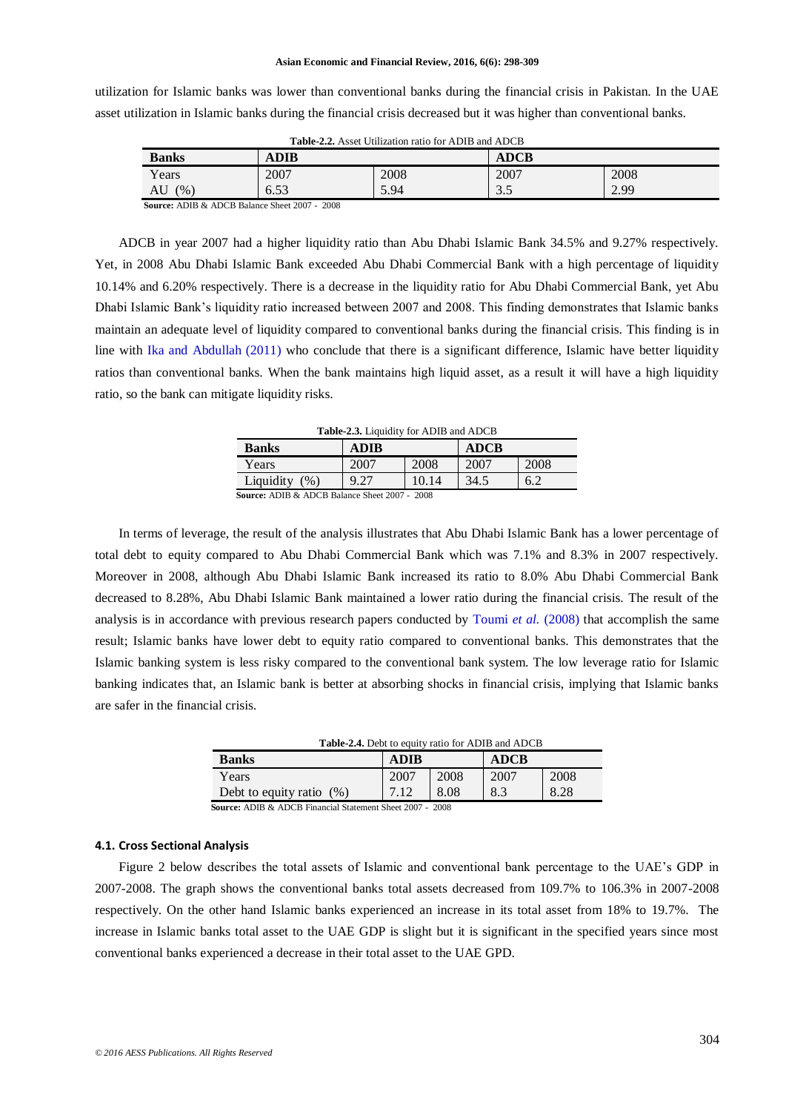#### **Asian Economic and Financial Review, 2016, 6(6): 298-309**

utilization for Islamic banks was lower than conventional banks during the financial crisis in Pakistan. In the UAE asset utilization in Islamic banks during the financial crisis decreased but it was higher than conventional banks.

| <b>Banks</b>                            | <b>ADIB</b> |      | <b>ADCB</b> |      |
|-----------------------------------------|-------------|------|-------------|------|
| $\mathbf{v}$<br>Y ears                  | 2007        | 2008 | 2007        | 2008 |
| $\frac{6}{6}$<br>AU                     | 52<br>0.53  | 5.94 | ر. ر        | 2.99 |
| 0.000<br>$C = 1500.0150101$ $C = 0.007$ |             |      |             |      |

**Table-2.2.** Asset Utilization ratio for ADIB and ADCB

 **Source:** ADIB & ADCB Balance Sheet 2007 - 2008

ADCB in year 2007 had a higher liquidity ratio than Abu Dhabi Islamic Bank 34.5% and 9.27% respectively. Yet, in 2008 Abu Dhabi Islamic Bank exceeded Abu Dhabi Commercial Bank with a high percentage of liquidity 10.14% and 6.20% respectively. There is a decrease in the liquidity ratio for Abu Dhabi Commercial Bank, yet Abu Dhabi Islamic Bank's liquidity ratio increased between 2007 and 2008. This finding demonstrates that Islamic banks maintain an adequate level of liquidity compared to conventional banks during the financial crisis. This finding is in line with [Ika and Abdullah \(2011\)](#page-10-10) who conclude that there is a significant difference, Islamic have better liquidity ratios than conventional banks. When the bank maintains high liquid asset, as a result it will have a high liquidity ratio, so the bank can mitigate liquidity risks.

**Table-2.3.** Liquidity for ADIB and ADCB

| Y ears                                           | 2007                         | 2008 | 2007 | 2008                          |  |
|--------------------------------------------------|------------------------------|------|------|-------------------------------|--|
| Liquidity                                        | $\Omega$ $2^{\circ}$<br>(% ) |      | 34.5 | $\mathbf{U} \cdot \mathbf{L}$ |  |
| 2008<br>Source: ADIB & ADCB Balance Sheet 2007 - |                              |      |      |                               |  |

**Banks ADIB ADCB**

In terms of leverage, the result of the analysis illustrates that Abu Dhabi Islamic Bank has a lower percentage of total debt to equity compared to Abu Dhabi Commercial Bank which was 7.1% and 8.3% in 2007 respectively. Moreover in 2008, although Abu Dhabi Islamic Bank increased its ratio to 8.0% Abu Dhabi Commercial Bank decreased to 8.28%, Abu Dhabi Islamic Bank maintained a lower ratio during the financial crisis. The result of the analysis is in accordance with previous research papers conducted by [Toumi](#page-10-6) *et al.* (2008) that accomplish the same result; Islamic banks have lower debt to equity ratio compared to conventional banks. This demonstrates that the Islamic banking system is less risky compared to the conventional bank system. The low leverage ratio for Islamic banking indicates that, an Islamic bank is better at absorbing shocks in financial crisis, implying that Islamic banks are safer in the financial crisis.

| <b>Table-2.4.</b> Debt to equity ratio for ADIB and ADCB |             |      |             |      |  |
|----------------------------------------------------------|-------------|------|-------------|------|--|
| Banks                                                    | <b>ADIB</b> |      | <b>ADCB</b> |      |  |
| Years                                                    | 2007        | 2008 | 2007        | 2008 |  |
| Debt to equity ratio $(\%)$                              | 7.12        | 8.08 | 8.3         | 8.28 |  |

 **Source:** ADIB & ADCB Financial Statement Sheet 2007 - 2008

# **4.1. Cross Sectional Analysis**

Figure 2 below describes the total assets of Islamic and conventional bank percentage to the UAE's GDP in 2007-2008. The graph shows the conventional banks total assets decreased from 109.7% to 106.3% in 2007-2008 respectively. On the other hand Islamic banks experienced an increase in its total asset from 18% to 19.7%. The increase in Islamic banks total asset to the UAE GDP is slight but it is significant in the specified years since most conventional banks experienced a decrease in their total asset to the UAE GPD.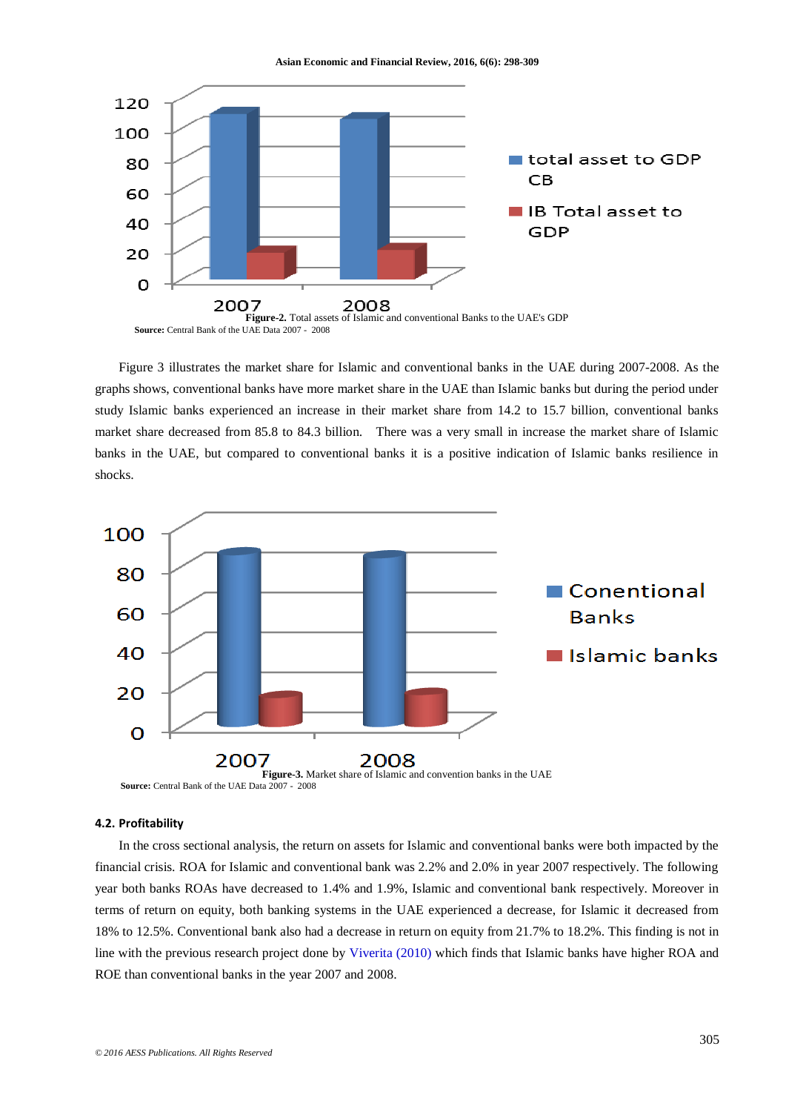**Asian Economic and Financial Review, 2016, 6(6): 298-309**



Figure 3 illustrates the market share for Islamic and conventional banks in the UAE during 2007-2008. As the graphs shows, conventional banks have more market share in the UAE than Islamic banks but during the period under study Islamic banks experienced an increase in their market share from 14.2 to 15.7 billion, conventional banks market share decreased from 85.8 to 84.3 billion. There was a very small in increase the market share of Islamic banks in the UAE, but compared to conventional banks it is a positive indication of Islamic banks resilience in shocks.



 **Source:** Central Bank of the UAE Data 2007 - 2008

## **4.2. Profitability**

In the cross sectional analysis, the return on assets for Islamic and conventional banks were both impacted by the financial crisis. ROA for Islamic and conventional bank was 2.2% and 2.0% in year 2007 respectively. The following year both banks ROAs have decreased to 1.4% and 1.9%, Islamic and conventional bank respectively. Moreover in terms of return on equity, both banking systems in the UAE experienced a decrease, for Islamic it decreased from 18% to 12.5%. Conventional bank also had a decrease in return on equity from 21.7% to 18.2%. This finding is not in line with the previous research project done by [Viverita \(2010\)](#page-10-3) which finds that Islamic banks have higher ROA and ROE than conventional banks in the year 2007 and 2008.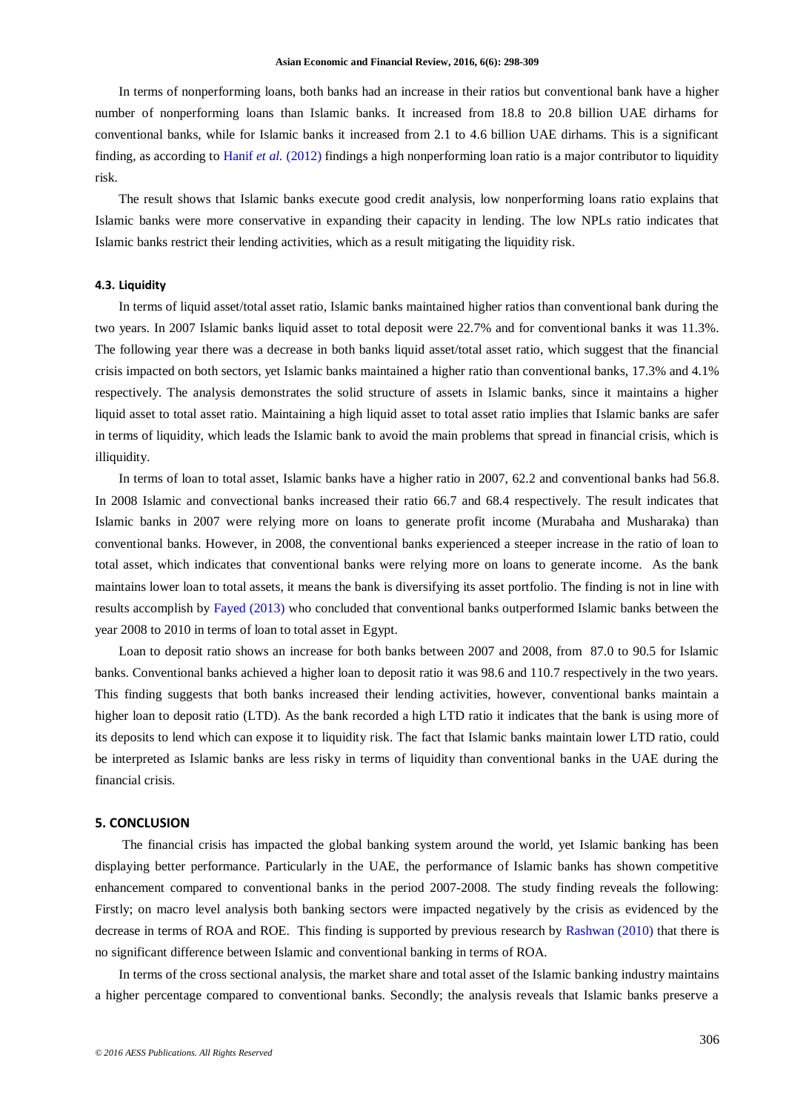In terms of nonperforming loans, both banks had an increase in their ratios but conventional bank have a higher number of nonperforming loans than Islamic banks. It increased from 18.8 to 20.8 billion UAE dirhams for conventional banks, while for Islamic banks it increased from 2.1 to 4.6 billion UAE dirhams. This is a significant finding, as according to Hanif *et al.* [\(2012\)](#page-10-11) findings a high nonperforming loan ratio is a major contributor to liquidity risk.

The result shows that Islamic banks execute good credit analysis, low nonperforming loans ratio explains that Islamic banks were more conservative in expanding their capacity in lending. The low NPLs ratio indicates that Islamic banks restrict their lending activities, which as a result mitigating the liquidity risk.

#### **4.3. Liquidity**

In terms of liquid asset/total asset ratio, Islamic banks maintained higher ratios than conventional bank during the two years. In 2007 Islamic banks liquid asset to total deposit were 22.7% and for conventional banks it was 11.3%. The following year there was a decrease in both banks liquid asset/total asset ratio, which suggest that the financial crisis impacted on both sectors, yet Islamic banks maintained a higher ratio than conventional banks, 17.3% and 4.1% respectively. The analysis demonstrates the solid structure of assets in Islamic banks, since it maintains a higher liquid asset to total asset ratio. Maintaining a high liquid asset to total asset ratio implies that Islamic banks are safer in terms of liquidity, which leads the Islamic bank to avoid the main problems that spread in financial crisis, which is illiquidity.

In terms of loan to total asset, Islamic banks have a higher ratio in 2007, 62.2 and conventional banks had 56.8. In 2008 Islamic and convectional banks increased their ratio 66.7 and 68.4 respectively. The result indicates that Islamic banks in 2007 were relying more on loans to generate profit income (Murabaha and Musharaka) than conventional banks. However, in 2008, the conventional banks experienced a steeper increase in the ratio of loan to total asset, which indicates that conventional banks were relying more on loans to generate income. As the bank maintains lower loan to total assets, it means the bank is diversifying its asset portfolio. The finding is not in line with results accomplish by [Fayed \(2013\)](#page-10-12) who concluded that conventional banks outperformed Islamic banks between the year 2008 to 2010 in terms of loan to total asset in Egypt.

Loan to deposit ratio shows an increase for both banks between 2007 and 2008, from 87.0 to 90.5 for Islamic banks. Conventional banks achieved a higher loan to deposit ratio it was 98.6 and 110.7 respectively in the two years. This finding suggests that both banks increased their lending activities, however, conventional banks maintain a higher loan to deposit ratio (LTD). As the bank recorded a high LTD ratio it indicates that the bank is using more of its deposits to lend which can expose it to liquidity risk. The fact that Islamic banks maintain lower LTD ratio, could be interpreted as Islamic banks are less risky in terms of liquidity than conventional banks in the UAE during the financial crisis.

#### **5. CONCLUSION**

The financial crisis has impacted the global banking system around the world, yet Islamic banking has been displaying better performance. Particularly in the UAE, the performance of Islamic banks has shown competitive enhancement compared to conventional banks in the period 2007-2008. The study finding reveals the following: Firstly; on macro level analysis both banking sectors were impacted negatively by the crisis as evidenced by the decrease in terms of ROA and ROE. This finding is supported by previous research by [Rashwan \(2010\)](#page-10-5) that there is no significant difference between Islamic and conventional banking in terms of ROA.

In terms of the cross sectional analysis, the market share and total asset of the Islamic banking industry maintains a higher percentage compared to conventional banks. Secondly; the analysis reveals that Islamic banks preserve a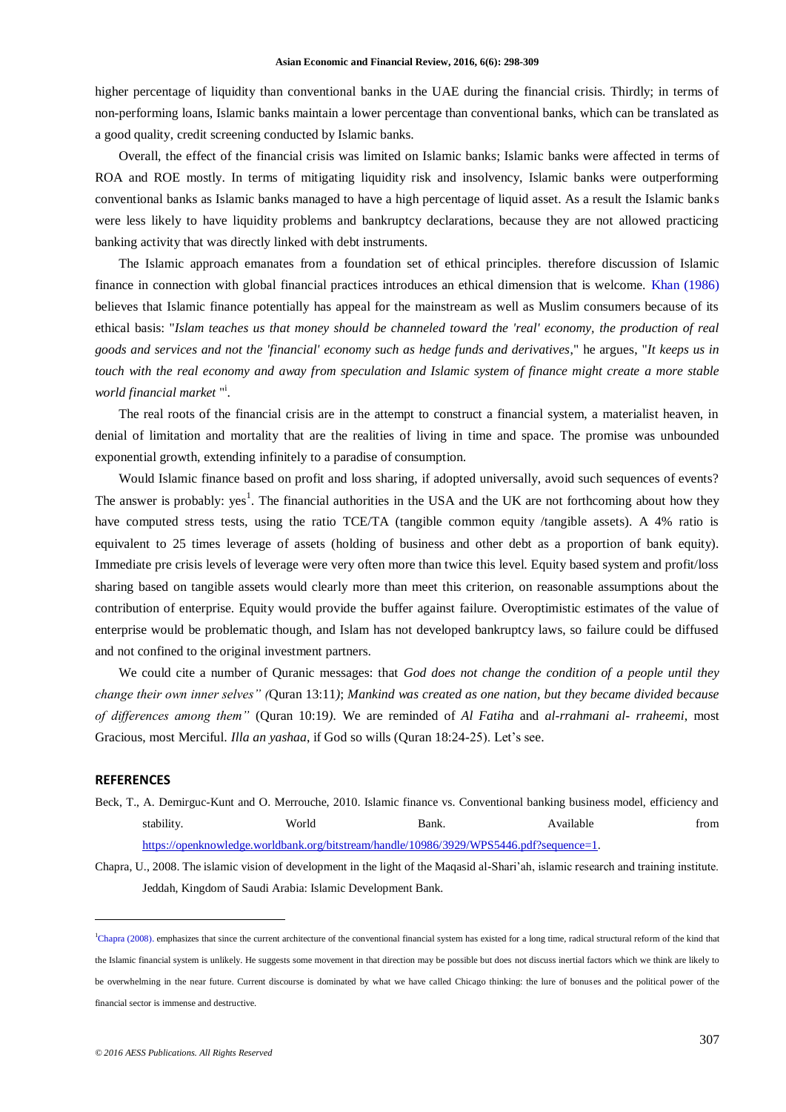higher percentage of liquidity than conventional banks in the UAE during the financial crisis. Thirdly; in terms of non-performing loans, Islamic banks maintain a lower percentage than conventional banks, which can be translated as a good quality, credit screening conducted by Islamic banks.

Overall, the effect of the financial crisis was limited on Islamic banks; Islamic banks were affected in terms of ROA and ROE mostly. In terms of mitigating liquidity risk and insolvency, Islamic banks were outperforming conventional banks as Islamic banks managed to have a high percentage of liquid asset. As a result the Islamic banks were less likely to have liquidity problems and bankruptcy declarations, because they are not allowed practicing banking activity that was directly linked with debt instruments.

The Islamic approach emanates from a foundation set of ethical principles. therefore discussion of Islamic finance in connection with global financial practices introduces an ethical dimension that is welcome. [Khan \(1986\)](#page-10-13) believes that Islamic finance potentially has appeal for the mainstream as well as Muslim consumers because of its ethical basis: "*Islam teaches us that money should be channeled toward the 'real' economy, the production of real goods and services and not the 'financial' economy such as hedge funds and derivatives*," he argues, "*It keeps us in touch with the real economy and away from speculation and Islamic system of finance might create a more stable*  world financial market "<sup>i</sup>.

The real roots of the financial crisis are in the attempt to construct a financial system, a materialist heaven, in denial of limitation and mortality that are the realities of living in time and space. The promise was unbounded exponential growth, extending infinitely to a paradise of consumption.

Would Islamic finance based on profit and loss sharing, if adopted universally, avoid such sequences of events? The answer is probably:  $yes<sup>1</sup>$ . The financial authorities in the USA and the UK are not forthcoming about how they have computed stress tests, using the ratio TCE/TA (tangible common equity /tangible assets). A 4% ratio is equivalent to 25 times leverage of assets (holding of business and other debt as a proportion of bank equity). Immediate pre crisis levels of leverage were very often more than twice this level. Equity based system and profit/loss sharing based on tangible assets would clearly more than meet this criterion, on reasonable assumptions about the contribution of enterprise. Equity would provide the buffer against failure. Overoptimistic estimates of the value of enterprise would be problematic though, and Islam has not developed bankruptcy laws, so failure could be diffused and not confined to the original investment partners.

We could cite a number of Quranic messages: that *God does not change the condition of a people until they change their own inner selves" (*Quran 13:11*)*; *Mankind was created as one nation, but they became divided because of differences among them"* (Quran 10:19*).* We are reminded of *Al Fatiha* and *al-rrahmani al- rraheemi*, most Gracious, most Merciful. *Illa an yashaa*, if God so wills (Quran 18:24-25). Let's see.

#### **REFERENCES**

1

<span id="page-9-0"></span>Beck, T., A. Demirguc-Kunt and O. Merrouche, 2010. Islamic finance vs. Conventional banking business model, efficiency and stability. World Bank. Available from https://openknowledge.worldbank.org/bitstream/handle/10986/3929/WPS5446.pdf?sequence=1.

Chapra, U., 2008. The islamic vision of development in the light of the Maqasid al-Shari'ah, islamic research and training institute. Jeddah, Kingdom of Saudi Arabia: Islamic Development Bank.

<sup>&</sup>lt;sup>1</sup>Chapra (2008). emphasizes that since the current architecture of the conventional financial system has existed for a long time, radical structural reform of the kind that the Islamic financial system is unlikely. He suggests some movement in that direction may be possible but does not discuss inertial factors which we think are likely to be overwhelming in the near future. Current discourse is dominated by what we have called Chicago thinking: the lure of bonuses and the political power of the financial sector is immense and destructive.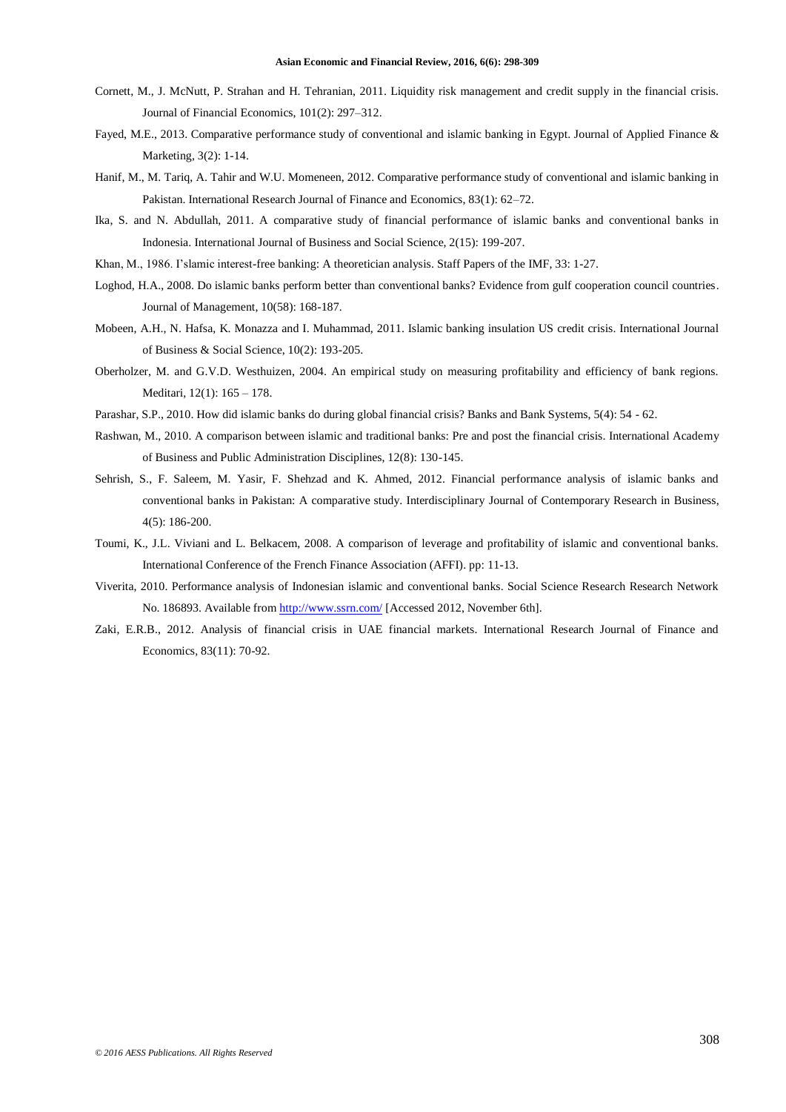- <span id="page-10-7"></span>Cornett, M., J. McNutt, P. Strahan and H. Tehranian, 2011. Liquidity risk management and credit supply in the financial crisis. Journal of Financial Economics, 101(2): 297–312.
- <span id="page-10-12"></span>Fayed, M.E., 2013. Comparative performance study of conventional and islamic banking in Egypt. Journal of Applied Finance & Marketing, 3(2): 1-14.
- <span id="page-10-11"></span>Hanif, M., M. Tariq, A. Tahir and W.U. Momeneen, 2012. Comparative performance study of conventional and islamic banking in Pakistan. International Research Journal of Finance and Economics, 83(1): 62–72.
- <span id="page-10-10"></span>Ika, S. and N. Abdullah, 2011. A comparative study of financial performance of islamic banks and conventional banks in Indonesia. International Journal of Business and Social Science, 2(15): 199-207.
- <span id="page-10-13"></span>Khan, M., 1986. I'slamic interest-free banking: A theoretician analysis. Staff Papers of the IMF, 33: 1-27.
- <span id="page-10-1"></span>Loghod, H.A., 2008. Do islamic banks perform better than conventional banks? Evidence from gulf cooperation council countries. Journal of Management, 10(58): 168-187.
- <span id="page-10-4"></span>Mobeen, A.H., N. Hafsa, K. Monazza and I. Muhammad, 2011. Islamic banking insulation US credit crisis. International Journal of Business & Social Science, 10(2): 193-205.
- <span id="page-10-8"></span>Oberholzer, M. and G.V.D. Westhuizen, 2004. An empirical study on measuring profitability and efficiency of bank regions. Meditari, 12(1): 165 – 178.
- <span id="page-10-0"></span>Parashar, S.P., 2010. How did islamic banks do during global financial crisis? Banks and Bank Systems, 5(4): 54 - 62.
- <span id="page-10-5"></span>Rashwan, M., 2010. A comparison between islamic and traditional banks: Pre and post the financial crisis. International Academy of Business and Public Administration Disciplines, 12(8): 130-145.
- <span id="page-10-9"></span>Sehrish, S., F. Saleem, M. Yasir, F. Shehzad and K. Ahmed, 2012. Financial performance analysis of islamic banks and conventional banks in Pakistan: A comparative study. Interdisciplinary Journal of Contemporary Research in Business, 4(5): 186-200.
- <span id="page-10-6"></span>Toumi, K., J.L. Viviani and L. Belkacem, 2008. A comparison of leverage and profitability of islamic and conventional banks. International Conference of the French Finance Association (AFFI). pp: 11-13.
- <span id="page-10-3"></span>Viverita, 2010. Performance analysis of Indonesian islamic and conventional banks. Social Science Research Research Network No. 186893. Available from<http://www.ssrn.com/> [Accessed 2012, November 6th].
- <span id="page-10-2"></span>Zaki, E.R.B., 2012. Analysis of financial crisis in UAE financial markets. International Research Journal of Finance and Economics, 83(11): 70-92.